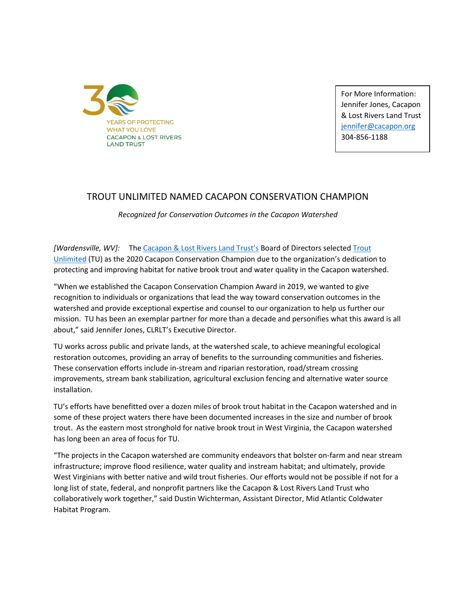

For More Information: Jennifer Jones, Cacapon & Lost Rivers Land Trust [jennifer@cacapon.org](mailto:jennifer@cacapon.org) 304-856-1188

## TROUT UNLIMITED NAMED CACAPON CONSERVATION CHAMPION

*Recognized for Conservation Outcomes in the Cacapon Watershed*

*[Wardensville, WV]:* The [Cacapon & Lost Rivers Land Trust's](http://www.cacapon.org/) Board of Directors selected [Trout](https://www.tu.org/)  [Unlimited](https://www.tu.org/) (TU) as the 2020 Cacapon Conservation Champion due to the organization's dedication to protecting and improving habitat for native brook trout and water quality in the Cacapon watershed.

"When we established the Cacapon Conservation Champion Award in 2019, we wanted to give recognition to individuals or organizations that lead the way toward conservation outcomes in the watershed and provide exceptional expertise and counsel to our organization to help us further our mission. TU has been an exemplar partner for more than a decade and personifies what this award is all about," said Jennifer Jones, CLRLT's Executive Director.

TU works across public and private lands, at the watershed scale, to achieve meaningful ecological restoration outcomes, providing an array of benefits to the surrounding communities and fisheries. These conservation efforts include in-stream and riparian restoration, road/stream crossing improvements, stream bank stabilization, agricultural exclusion fencing and alternative water source installation.

TU's efforts have benefitted over a dozen miles of brook trout habitat in the Cacapon watershed and in some of these project waters there have been documented increases in the size and number of brook trout. As the eastern most stronghold for native brook trout in West Virginia, the Cacapon watershed has long been an area of focus for TU.

"The projects in the Cacapon watershed are community endeavors that bolster on-farm and near stream infrastructure; improve flood resilience, water quality and instream habitat; and ultimately, provide West Virginians with better native and wild trout fisheries. Our efforts would not be possible if not for a long list of state, federal, and nonprofit partners like the Cacapon & Lost Rivers Land Trust who collaboratively work together," said Dustin Wichterman, Assistant Director, Mid Atlantic Coldwater Habitat Program.